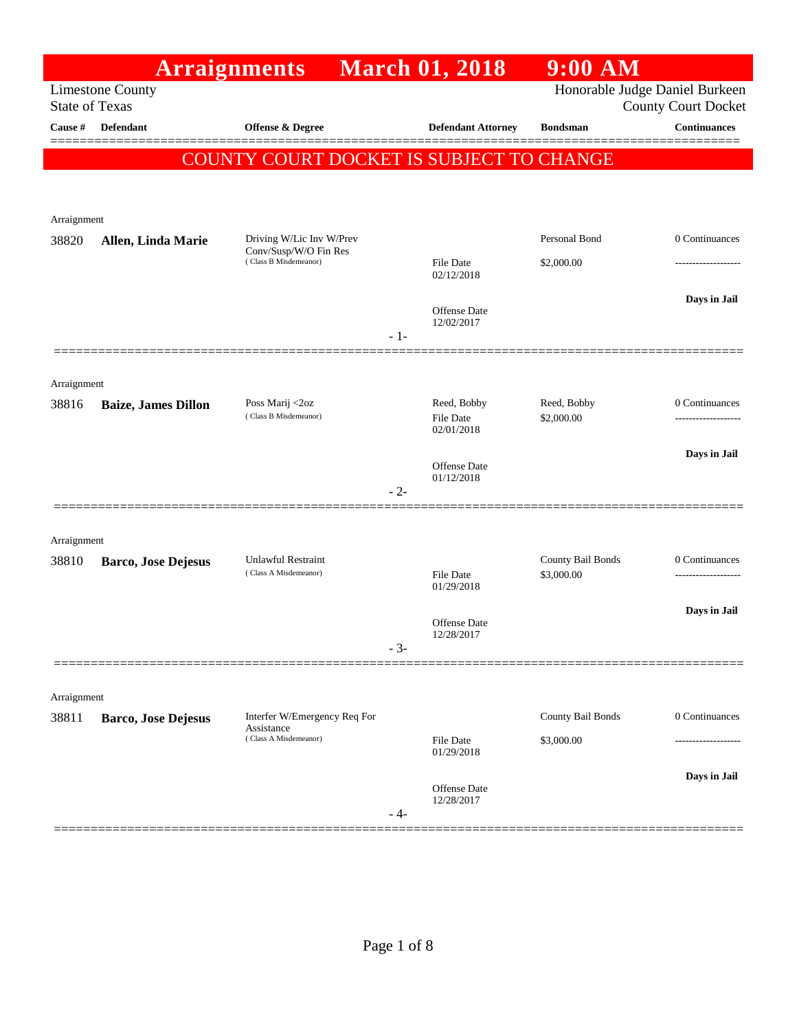|                       |                            | <b>Arraignments</b>                                                 | <b>March 01, 2018</b>             | $9:00$ AM                       |                     |
|-----------------------|----------------------------|---------------------------------------------------------------------|-----------------------------------|---------------------------------|---------------------|
| <b>State of Texas</b> | <b>Limestone County</b>    |                                                                     |                                   | Honorable Judge Daniel Burkeen  | County Court Docket |
| Cause #               | Defendant                  | Offense & Degree                                                    | <b>Defendant Attorney</b>         | <b>Bondsman</b>                 | <b>Continuances</b> |
|                       |                            | COUNTY COURT DOCKET IS SUBJECT TO CHANGE                            |                                   |                                 |                     |
|                       |                            |                                                                     |                                   |                                 |                     |
| Arraignment           |                            |                                                                     |                                   |                                 |                     |
| 38820                 | Allen, Linda Marie         | Driving W/Lic Inv W/Prev<br>Conv/Susp/W/O Fin Res                   |                                   | Personal Bond                   | 0 Continuances      |
|                       |                            | (Class B Misdemeanor)                                               | File Date<br>02/12/2018           | \$2,000.00                      | ------------------- |
|                       |                            |                                                                     |                                   |                                 | Days in Jail        |
|                       |                            |                                                                     | <b>Offense Date</b><br>12/02/2017 |                                 |                     |
|                       |                            |                                                                     | $-1-$                             |                                 |                     |
| Arraignment           |                            |                                                                     |                                   |                                 |                     |
| 38816                 | <b>Baize, James Dillon</b> | Poss Marij <2oz<br>(Class B Misdemeanor)                            | Reed, Bobby                       | Reed, Bobby<br>\$2,000.00       | 0 Continuances      |
|                       |                            |                                                                     | File Date<br>02/01/2018           |                                 | -----------------   |
|                       |                            |                                                                     | Offense Date                      |                                 | Days in Jail        |
|                       |                            |                                                                     | 01/12/2018<br>$-2-$               |                                 |                     |
|                       |                            |                                                                     |                                   |                                 |                     |
| Arraignment           |                            |                                                                     |                                   |                                 |                     |
| 38810                 | <b>Barco, Jose Dejesus</b> | <b>Unlawful Restraint</b><br>(Class A Misdemeanor)                  | File Date                         | County Bail Bonds<br>\$3,000.00 | 0 Continuances      |
|                       |                            |                                                                     | 01/29/2018                        |                                 |                     |
|                       |                            |                                                                     | Offense Date<br>12/28/2017        |                                 | Days in Jail        |
|                       |                            |                                                                     | $-3-$                             |                                 |                     |
|                       |                            |                                                                     |                                   |                                 |                     |
| Arraignment           |                            |                                                                     |                                   | County Bail Bonds               | 0 Continuances      |
| 38811                 | <b>Barco, Jose Dejesus</b> | Interfer W/Emergency Req For<br>Assistance<br>(Class A Misdemeanor) | File Date                         | \$3,000.00                      |                     |
|                       |                            |                                                                     | 01/29/2018                        |                                 |                     |
|                       |                            |                                                                     | Offense Date                      |                                 | Days in Jail        |
|                       |                            |                                                                     | 12/28/2017<br>- 4-                |                                 |                     |
|                       |                            |                                                                     |                                   |                                 |                     |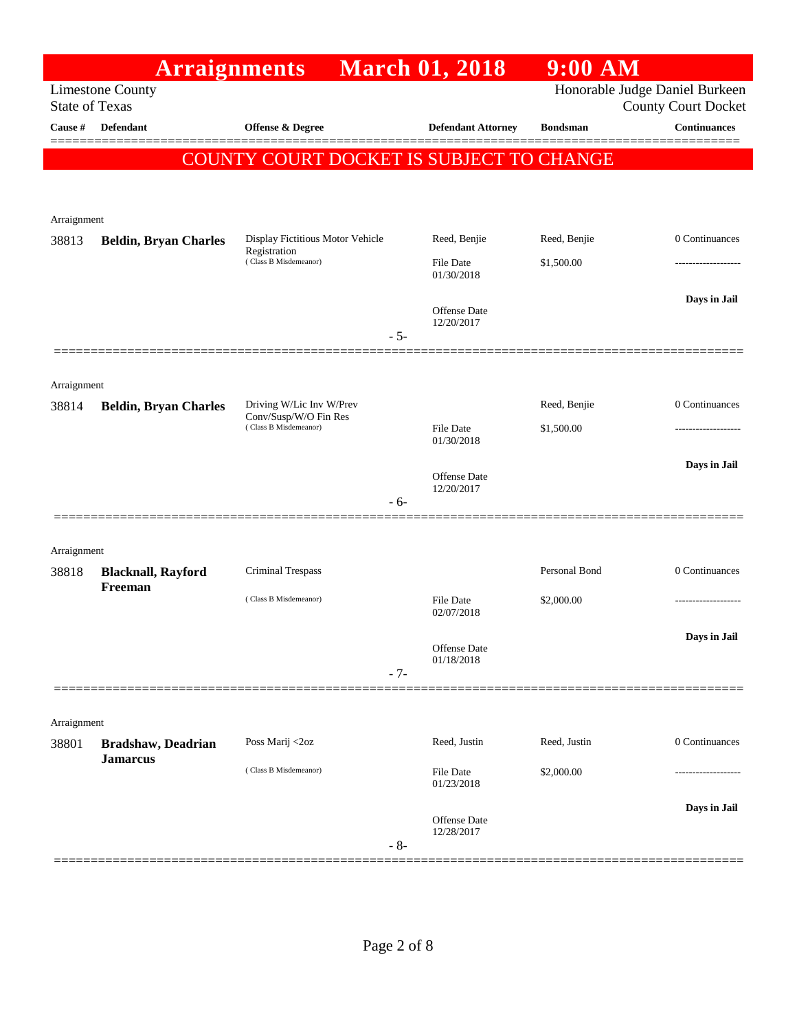|             | <b>Arraignments</b>                              |                                                   | <b>March 01, 2018</b>          | $9:00$ AM       |                                                              |
|-------------|--------------------------------------------------|---------------------------------------------------|--------------------------------|-----------------|--------------------------------------------------------------|
|             | <b>Limestone County</b><br><b>State of Texas</b> |                                                   |                                |                 | Honorable Judge Daniel Burkeen<br><b>County Court Docket</b> |
| Cause #     | <b>Defendant</b>                                 | <b>Offense &amp; Degree</b>                       | <b>Defendant Attorney</b>      | <b>Bondsman</b> | <b>Continuances</b>                                          |
|             |                                                  | COUNTY COURT DOCKET IS SUBJECT TO CHANGE          |                                |                 |                                                              |
|             |                                                  |                                                   |                                |                 |                                                              |
|             |                                                  |                                                   |                                |                 |                                                              |
| Arraignment |                                                  | Display Fictitious Motor Vehicle                  | Reed, Benjie                   | Reed, Benjie    | 0 Continuances                                               |
| 38813       | <b>Beldin, Bryan Charles</b>                     | Registration<br>(Class B Misdemeanor)             | <b>File Date</b>               | \$1,500.00      |                                                              |
|             |                                                  |                                                   | 01/30/2018                     |                 |                                                              |
|             |                                                  |                                                   | <b>Offense</b> Date            |                 | Days in Jail                                                 |
|             |                                                  |                                                   | 12/20/2017<br>$-5-$            |                 |                                                              |
|             |                                                  |                                                   |                                |                 |                                                              |
| Arraignment |                                                  |                                                   |                                |                 |                                                              |
| 38814       | <b>Beldin, Bryan Charles</b>                     | Driving W/Lic Inv W/Prev<br>Conv/Susp/W/O Fin Res |                                | Reed, Benjie    | 0 Continuances                                               |
|             |                                                  | (Class B Misdemeanor)                             | <b>File Date</b><br>01/30/2018 | \$1,500.00      |                                                              |
|             |                                                  |                                                   |                                |                 | Days in Jail                                                 |
|             |                                                  |                                                   | Offense Date<br>12/20/2017     |                 |                                                              |
|             |                                                  |                                                   | - 6-                           |                 |                                                              |
| Arraignment |                                                  |                                                   |                                |                 |                                                              |
| 38818       | <b>Blacknall, Rayford</b>                        | Criminal Trespass                                 |                                | Personal Bond   | 0 Continuances                                               |
|             | Freeman                                          | (Class B Misdemeanor)                             | File Date                      | \$2,000.00      |                                                              |
|             |                                                  |                                                   | 02/07/2018                     |                 |                                                              |
|             |                                                  |                                                   | Offense Date                   |                 | Days in Jail                                                 |
|             |                                                  |                                                   | 01/18/2018<br>$-7-$            |                 |                                                              |
|             |                                                  |                                                   |                                |                 |                                                              |
| Arraignment |                                                  |                                                   |                                |                 |                                                              |
| 38801       | <b>Bradshaw</b> , Deadrian<br><b>Jamarcus</b>    | Poss Marij <2oz                                   | Reed, Justin                   | Reed, Justin    | 0 Continuances                                               |
|             |                                                  | (Class B Misdemeanor)                             | <b>File Date</b><br>01/23/2018 | \$2,000.00      |                                                              |
|             |                                                  |                                                   |                                |                 | Days in Jail                                                 |
|             |                                                  |                                                   | Offense Date<br>12/28/2017     |                 |                                                              |
|             |                                                  |                                                   | $-8-$                          |                 |                                                              |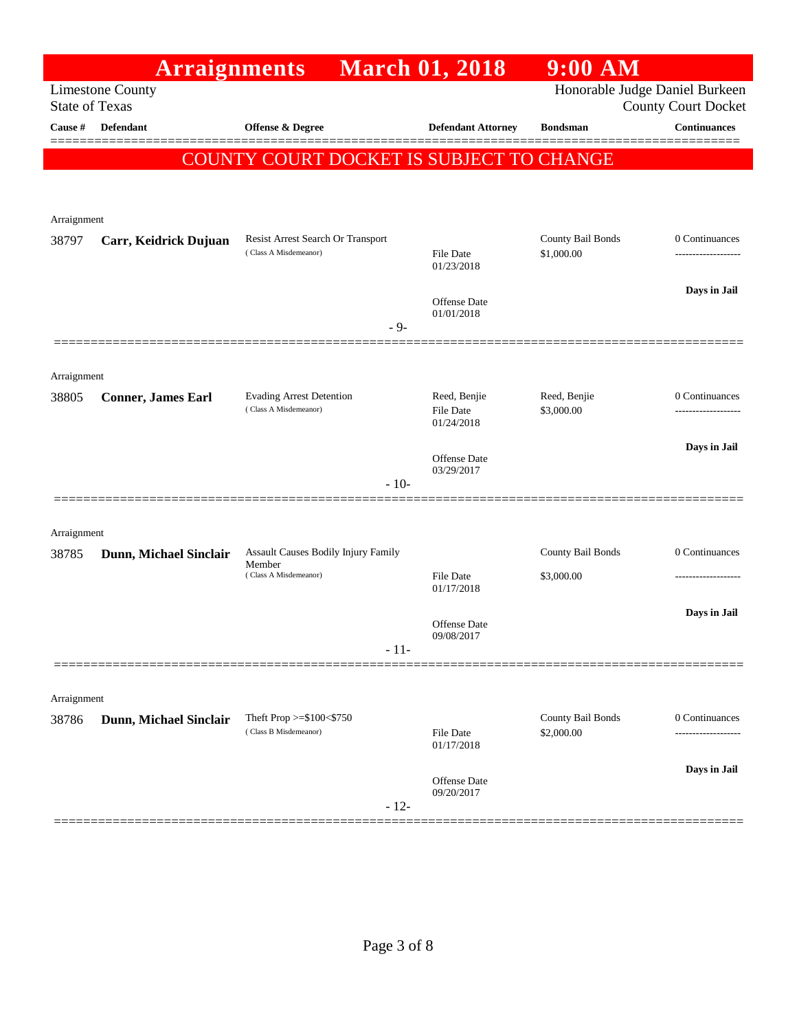|                       | <b>Arraignments</b>       |                                                          | <b>March 01, 2018</b>            | $9:00$ AM                      |                            |
|-----------------------|---------------------------|----------------------------------------------------------|----------------------------------|--------------------------------|----------------------------|
| <b>State of Texas</b> | <b>Limestone County</b>   |                                                          |                                  | Honorable Judge Daniel Burkeen | <b>County Court Docket</b> |
| Cause #               | Defendant                 | <b>Offense &amp; Degree</b>                              | <b>Defendant Attorney</b>        | <b>Bondsman</b>                | <b>Continuances</b>        |
|                       |                           | COUNTY COURT DOCKET IS SUBJECT TO CHANGE                 |                                  |                                | ======                     |
|                       |                           |                                                          |                                  |                                |                            |
|                       |                           |                                                          |                                  |                                |                            |
| Arraignment           |                           | Resist Arrest Search Or Transport                        |                                  | County Bail Bonds              | 0 Continuances             |
| 38797                 | Carr, Keidrick Dujuan     | (Class A Misdemeanor)                                    | File Date<br>01/23/2018          | \$1,000.00                     |                            |
|                       |                           |                                                          |                                  |                                |                            |
|                       |                           |                                                          | Offense Date<br>01/01/2018       |                                | Days in Jail               |
|                       |                           | $-9-$                                                    |                                  |                                |                            |
|                       |                           |                                                          |                                  |                                |                            |
| Arraignment           |                           |                                                          |                                  |                                |                            |
| 38805                 | <b>Conner, James Earl</b> | <b>Evading Arrest Detention</b><br>(Class A Misdemeanor) | Reed, Benjie<br><b>File Date</b> | Reed, Benjie<br>\$3,000.00     | 0 Continuances             |
|                       |                           |                                                          | 01/24/2018                       |                                |                            |
|                       |                           |                                                          | Offense Date<br>03/29/2017       |                                | Days in Jail               |
|                       |                           | $-10-$                                                   |                                  |                                |                            |
|                       |                           |                                                          |                                  |                                |                            |
| Arraignment           |                           | <b>Assault Causes Bodily Injury Family</b>               |                                  | County Bail Bonds              | 0 Continuances             |
| 38785                 | Dunn, Michael Sinclair    | Member<br>(Class A Misdemeanor)                          | File Date                        | \$3,000.00                     | ------------------         |
|                       |                           |                                                          | 01/17/2018                       |                                |                            |
|                       |                           |                                                          | Offense Date                     |                                | Days in Jail               |
|                       |                           | $-11-$                                                   | 09/08/2017                       |                                |                            |
|                       |                           |                                                          |                                  |                                |                            |
| Arraignment           |                           |                                                          |                                  |                                |                            |
| 38786                 | Dunn, Michael Sinclair    | Theft Prop >=\$100<\$750<br>(Class B Misdemeanor)        |                                  | County Bail Bonds              | 0 Continuances             |
|                       |                           |                                                          | File Date<br>01/17/2018          | \$2,000.00                     | ----------                 |
|                       |                           |                                                          | Offense Date                     |                                | Days in Jail               |
|                       |                           | $-12-$                                                   | 09/20/2017                       |                                |                            |
|                       |                           |                                                          |                                  |                                |                            |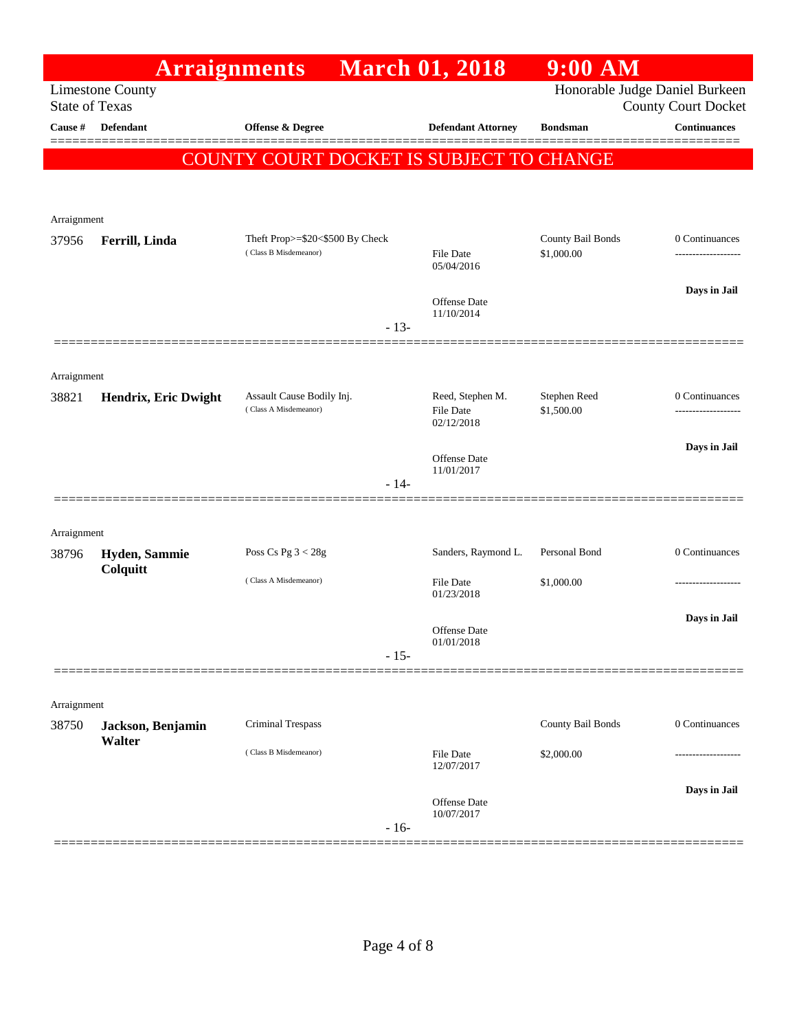|                       | <b>Arraignments</b>         |                                          | <b>March 01, 2018</b>          | $9:00$ AM                      |                            |
|-----------------------|-----------------------------|------------------------------------------|--------------------------------|--------------------------------|----------------------------|
| <b>State of Texas</b> | <b>Limestone County</b>     |                                          |                                | Honorable Judge Daniel Burkeen | <b>County Court Docket</b> |
| Cause #               | <b>Defendant</b>            | <b>Offense &amp; Degree</b>              | <b>Defendant Attorney</b>      | <b>Bondsman</b>                | <b>Continuances</b>        |
|                       |                             | COUNTY COURT DOCKET IS SUBJECT TO CHANGE |                                |                                |                            |
|                       |                             |                                          |                                |                                |                            |
|                       |                             |                                          |                                |                                |                            |
| Arraignment           |                             | Theft Prop>=\$20<\$500 By Check          |                                | County Bail Bonds              | 0 Continuances             |
| 37956                 | Ferrill, Linda              | (Class B Misdemeanor)                    | <b>File Date</b><br>05/04/2016 | \$1,000.00                     | ----------------           |
|                       |                             |                                          | Offense Date                   |                                | Days in Jail               |
|                       |                             | $-13-$                                   | 11/10/2014                     |                                |                            |
|                       |                             |                                          |                                |                                |                            |
| Arraignment           |                             | Assault Cause Bodily Inj.                | Reed, Stephen M.               | Stephen Reed                   | 0 Continuances             |
| 38821                 | Hendrix, Eric Dwight        | (Class A Misdemeanor)                    | <b>File Date</b><br>02/12/2018 | \$1,500.00                     | ------------------         |
|                       |                             |                                          | Offense Date                   |                                | Days in Jail               |
|                       |                             | $-14-$                                   | 11/01/2017                     |                                |                            |
|                       |                             |                                          |                                |                                |                            |
| Arraignment           |                             |                                          |                                |                                |                            |
| 38796                 | Hyden, Sammie               | Poss Cs Pg $3 < 28g$                     | Sanders, Raymond L.            | Personal Bond                  | 0 Continuances             |
|                       | Colquitt                    | (Class A Misdemeanor)                    | File Date                      | \$1,000.00                     |                            |
|                       |                             |                                          | 01/23/2018                     |                                | Days in Jail               |
|                       |                             |                                          | Offense Date<br>01/01/2018     |                                |                            |
|                       |                             | $-15-$                                   |                                |                                |                            |
|                       |                             |                                          |                                |                                |                            |
| Arraignment<br>38750  |                             | Criminal Trespass                        |                                | County Bail Bonds              | 0 Continuances             |
|                       | Jackson, Benjamin<br>Walter | (Class B Misdemeanor)                    |                                |                                |                            |
|                       |                             |                                          | <b>File Date</b><br>12/07/2017 | \$2,000.00                     |                            |
|                       |                             |                                          | Offense Date                   |                                | Days in Jail               |
|                       |                             | $-16-$                                   | 10/07/2017                     |                                |                            |
|                       |                             |                                          |                                |                                |                            |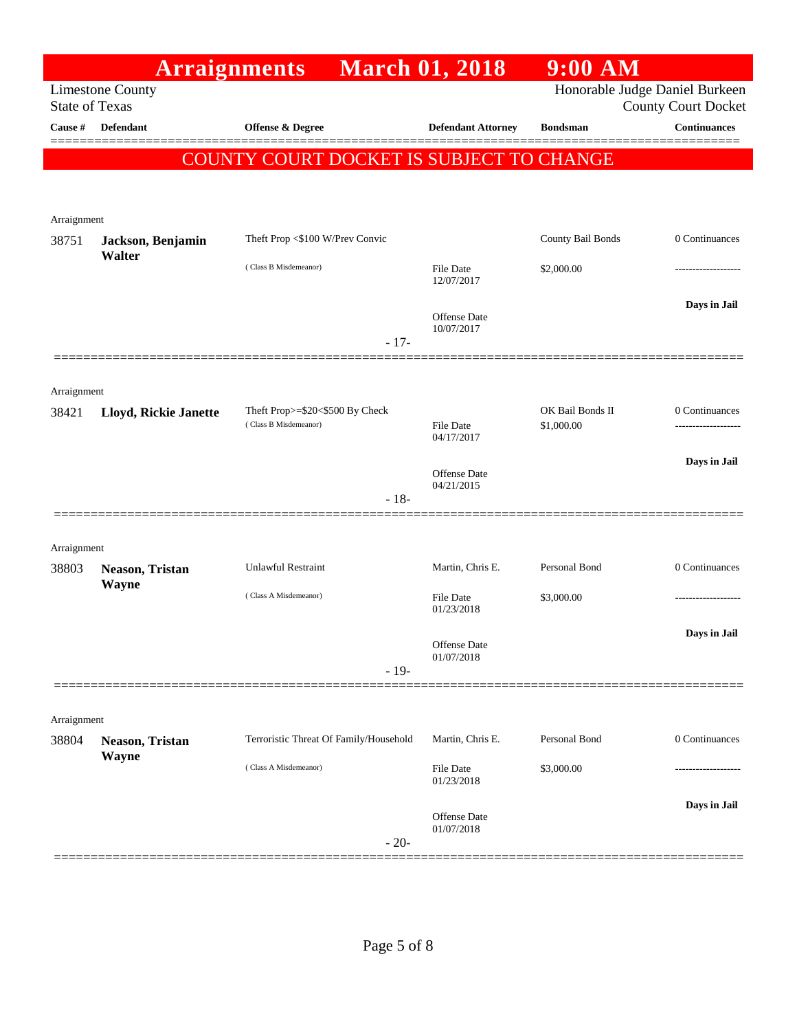|                       | <b>Arraignments</b>      |                                          | <b>March 01, 2018</b>             | $9:00$ AM                      |                            |
|-----------------------|--------------------------|------------------------------------------|-----------------------------------|--------------------------------|----------------------------|
| <b>State of Texas</b> | <b>Limestone County</b>  |                                          |                                   | Honorable Judge Daniel Burkeen | <b>County Court Docket</b> |
| Cause #               | <b>Defendant</b>         | <b>Offense &amp; Degree</b>              | <b>Defendant Attorney</b>         | <b>Bondsman</b>                | <b>Continuances</b>        |
|                       |                          | COUNTY COURT DOCKET IS SUBJECT TO CHANGE |                                   |                                | ======                     |
|                       |                          |                                          |                                   |                                |                            |
|                       |                          |                                          |                                   |                                |                            |
| Arraignment<br>38751  | Jackson, Benjamin        | Theft Prop <\$100 W/Prev Convic          |                                   | County Bail Bonds              | 0 Continuances             |
|                       | Walter                   |                                          |                                   |                                |                            |
|                       |                          | (Class B Misdemeanor)                    | <b>File Date</b><br>12/07/2017    | \$2,000.00                     |                            |
|                       |                          |                                          |                                   |                                | Days in Jail               |
|                       |                          |                                          | <b>Offense Date</b><br>10/07/2017 |                                |                            |
|                       |                          | $-17-$                                   |                                   |                                |                            |
|                       |                          |                                          |                                   |                                |                            |
| Arraignment<br>38421  | Lloyd, Rickie Janette    | Theft Prop>=\$20<\$500 By Check          |                                   | OK Bail Bonds II               | 0 Continuances             |
|                       |                          | (Class B Misdemeanor)                    | <b>File Date</b><br>04/17/2017    | \$1,000.00                     | ------------------         |
|                       |                          |                                          |                                   |                                | Days in Jail               |
|                       |                          |                                          | <b>Offense Date</b><br>04/21/2015 |                                |                            |
|                       |                          | $-18-$                                   |                                   |                                |                            |
|                       |                          |                                          |                                   |                                |                            |
| Arraignment           |                          | <b>Unlawful Restraint</b>                | Martin, Chris E.                  | Personal Bond                  | 0 Continuances             |
| 38803                 | Neason, Tristan<br>Wayne |                                          |                                   |                                |                            |
|                       |                          | (Class A Misdemeanor)                    | <b>File Date</b><br>01/23/2018    | \$3,000.00                     | -----------------          |
|                       |                          |                                          |                                   |                                | Days in Jail               |
|                       |                          |                                          | Offense Date<br>01/07/2018        |                                |                            |
|                       |                          | $-19-$                                   |                                   |                                |                            |
|                       |                          |                                          |                                   |                                |                            |
| Arraignment<br>38804  | Neason, Tristan          | Terroristic Threat Of Family/Household   | Martin, Chris E.                  | Personal Bond                  | 0 Continuances             |
|                       | Wayne                    |                                          |                                   |                                |                            |
|                       |                          | (Class A Misdemeanor)                    | <b>File Date</b><br>01/23/2018    | \$3,000.00                     |                            |
|                       |                          |                                          |                                   |                                | Days in Jail               |
|                       |                          |                                          | <b>Offense Date</b><br>01/07/2018 |                                |                            |
|                       |                          | $-20-$                                   |                                   |                                |                            |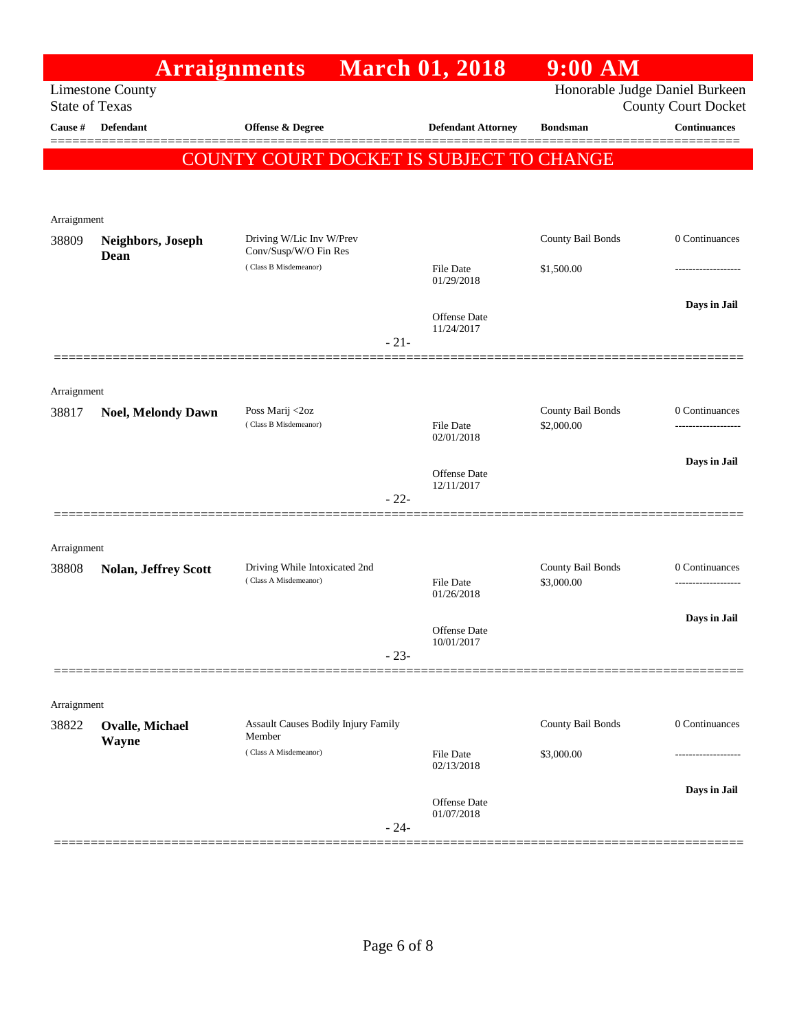|                       |                             | <b>Arraignments</b> March 01, 2018                     |                                   | $9:00$ AM                       |                                                              |
|-----------------------|-----------------------------|--------------------------------------------------------|-----------------------------------|---------------------------------|--------------------------------------------------------------|
| <b>State of Texas</b> | <b>Limestone County</b>     |                                                        |                                   |                                 | Honorable Judge Daniel Burkeen<br><b>County Court Docket</b> |
| Cause #               | <b>Defendant</b>            | Offense & Degree                                       | <b>Defendant Attorney</b>         | <b>Bondsman</b>                 | <b>Continuances</b>                                          |
|                       |                             | COUNTY COURT DOCKET IS SUBJECT TO CHANGE               |                                   |                                 |                                                              |
|                       |                             |                                                        |                                   |                                 |                                                              |
|                       |                             |                                                        |                                   |                                 |                                                              |
| Arraignment<br>38809  | Neighbors, Joseph           | Driving W/Lic Inv W/Prev                               |                                   | County Bail Bonds               | 0 Continuances                                               |
|                       | Dean                        | Conv/Susp/W/O Fin Res<br>(Class B Misdemeanor)         |                                   |                                 |                                                              |
|                       |                             |                                                        | <b>File Date</b><br>01/29/2018    | \$1,500.00                      |                                                              |
|                       |                             |                                                        | <b>Offense Date</b>               |                                 | Days in Jail                                                 |
|                       |                             |                                                        | 11/24/2017                        |                                 |                                                              |
|                       |                             | $-21-$                                                 |                                   |                                 |                                                              |
| Arraignment           |                             |                                                        |                                   |                                 |                                                              |
| 38817                 | <b>Noel, Melondy Dawn</b>   | Poss Marij <2oz                                        |                                   | County Bail Bonds               | 0 Continuances                                               |
|                       |                             | (Class B Misdemeanor)                                  | <b>File Date</b><br>02/01/2018    | \$2,000.00                      |                                                              |
|                       |                             |                                                        |                                   |                                 | Days in Jail                                                 |
|                       |                             |                                                        | <b>Offense Date</b><br>12/11/2017 |                                 |                                                              |
|                       |                             | $-22-$                                                 |                                   |                                 |                                                              |
|                       |                             |                                                        |                                   |                                 |                                                              |
| Arraignment           |                             |                                                        |                                   |                                 |                                                              |
| 38808                 | <b>Nolan, Jeffrey Scott</b> | Driving While Intoxicated 2nd<br>(Class A Misdemeanor) | <b>File Date</b>                  | County Bail Bonds<br>\$3,000.00 | 0 Continuances                                               |
|                       |                             |                                                        | 01/26/2018                        |                                 |                                                              |
|                       |                             |                                                        | <b>Offense Date</b>               |                                 | Days in Jail                                                 |
|                       |                             | $-23-$                                                 | 10/01/2017                        |                                 |                                                              |
|                       |                             |                                                        |                                   |                                 |                                                              |
| Arraignment           |                             |                                                        |                                   |                                 |                                                              |
| 38822                 | <b>Ovalle, Michael</b>      | Assault Causes Bodily Injury Family<br>Member          |                                   | County Bail Bonds               | 0 Continuances                                               |
|                       | Wayne                       | (Class A Misdemeanor)                                  | <b>File Date</b>                  | \$3,000.00                      |                                                              |
|                       |                             |                                                        | 02/13/2018                        |                                 |                                                              |
|                       |                             |                                                        | Offense Date                      |                                 | Days in Jail                                                 |
|                       |                             | $-24-$                                                 | 01/07/2018                        |                                 |                                                              |
|                       |                             |                                                        |                                   |                                 |                                                              |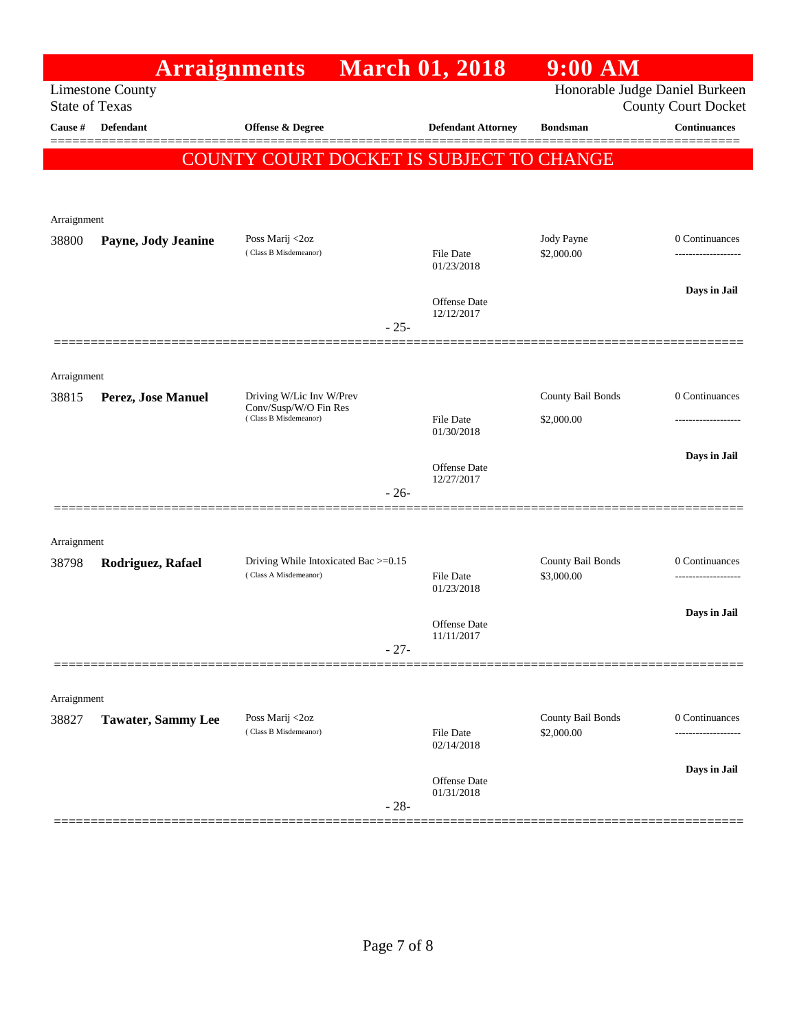|             | <b>Arraignments</b>                              |                                                               |        | <b>March 01, 2018</b>          | $9:00$ AM                       |                                                              |
|-------------|--------------------------------------------------|---------------------------------------------------------------|--------|--------------------------------|---------------------------------|--------------------------------------------------------------|
|             | <b>Limestone County</b><br><b>State of Texas</b> |                                                               |        |                                |                                 | Honorable Judge Daniel Burkeen<br><b>County Court Docket</b> |
| Cause #     | <b>Defendant</b>                                 | <b>Offense &amp; Degree</b>                                   |        | <b>Defendant Attorney</b>      | <b>Bondsman</b>                 | <b>Continuances</b>                                          |
|             |                                                  | COUNTY COURT DOCKET IS SUBJECT TO CHANGE                      |        |                                |                                 | ======                                                       |
|             |                                                  |                                                               |        |                                |                                 |                                                              |
| Arraignment |                                                  |                                                               |        |                                |                                 |                                                              |
| 38800       | Payne, Jody Jeanine                              | Poss Marij <2oz                                               |        |                                | Jody Payne                      | 0 Continuances                                               |
|             |                                                  | (Class B Misdemeanor)                                         |        | File Date<br>01/23/2018        | \$2,000.00                      | -----------------                                            |
|             |                                                  |                                                               |        | Offense Date                   |                                 | Days in Jail                                                 |
|             |                                                  |                                                               | $-25-$ | 12/12/2017                     |                                 |                                                              |
|             |                                                  |                                                               |        |                                |                                 |                                                              |
| Arraignment |                                                  |                                                               |        |                                |                                 |                                                              |
| 38815       | Perez, Jose Manuel                               | Driving W/Lic Inv W/Prev<br>Conv/Susp/W/O Fin Res             |        |                                | County Bail Bonds               | 0 Continuances                                               |
|             |                                                  | (Class B Misdemeanor)                                         |        | <b>File Date</b><br>01/30/2018 | \$2,000.00                      | -----------------                                            |
|             |                                                  |                                                               |        | Offense Date                   |                                 | Days in Jail                                                 |
|             |                                                  |                                                               | $-26-$ | 12/27/2017                     |                                 |                                                              |
|             |                                                  |                                                               |        |                                |                                 |                                                              |
| Arraignment |                                                  |                                                               |        |                                |                                 |                                                              |
| 38798       | Rodriguez, Rafael                                | Driving While Intoxicated Bac >=0.15<br>(Class A Misdemeanor) |        | <b>File Date</b>               | County Bail Bonds<br>\$3,000.00 | 0 Continuances                                               |
|             |                                                  |                                                               |        | 01/23/2018                     |                                 |                                                              |
|             |                                                  |                                                               |        | Offense Date<br>11/11/2017     |                                 | Days in Jail                                                 |
|             |                                                  |                                                               | $-27-$ |                                |                                 |                                                              |
|             |                                                  |                                                               |        |                                |                                 |                                                              |
| Arraignment |                                                  |                                                               |        |                                | County Bail Bonds               | 0 Continuances                                               |
| 38827       | <b>Tawater, Sammy Lee</b>                        | Poss Marij <2oz<br>(Class B Misdemeanor)                      |        | File Date<br>02/14/2018        | \$2,000.00                      | ------------                                                 |
|             |                                                  |                                                               |        |                                |                                 | Days in Jail                                                 |
|             |                                                  |                                                               | $-28-$ | Offense Date<br>01/31/2018     |                                 |                                                              |